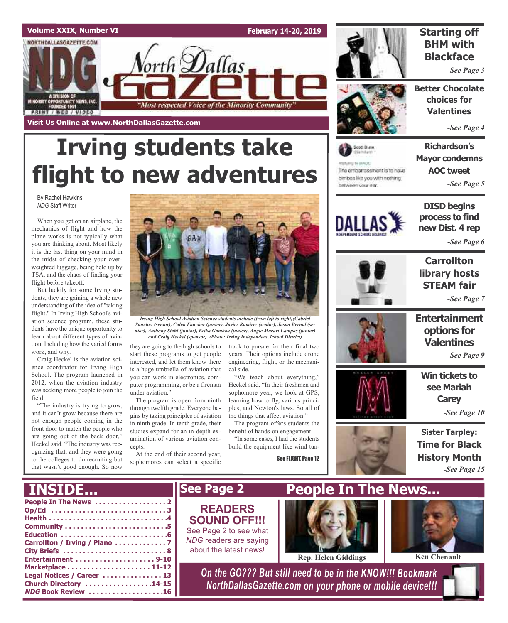

# **Irving students take flight to new adventures**

By Rachel Hawkins *NDG* Staff Writer

When you get on an airplane, the mechanics of flight and how the plane works is not typically what you are thinking about. Most likely it is the last thing on your mind in the midst of checking your overweighted luggage, being held up by TSA, and the chaos of finding your flight before takeoff.

But luckily for some Irving students, they are gaining a whole new understanding of the idea of "taking flight." In Irving High School's aviation science program, these students have the unique opportunity to learn about different types of aviation. Including how the varied forms work, and why.

Craig Heckel is the aviation science coordinator for Irving High School. The program launched in 2012, when the aviation industry was seeking more people to join the field.

"The industry is trying to grow, and it can't grow because there are not enough people coming in the front door to match the people who are going out of the back door," Heckel said. "The industry was recognizing that, and they were going to the colleges to do recruiting but that wasn't good enough. So now



*Irving High School Aviation Science students include (from left to right);Gabriel Sanchez (senior), Caleb Fancher (junior), Javier Ramirez (senior), Jason Bernal (senior), Anthony Stahl (junior), Erika Gamboa (junior), Angie Maravi Campos (junior) and Craig Heckel (sponsor). (Photo: Irving Independent School District)*

they are going to the high schools to start these programs to get people interested, and let them know there is a huge umbrella of aviation that you can work in electronics, computer programming, or be a fireman under aviation."

The program is open from ninth through twelfth grade. Everyone begins by taking principles of aviation in ninth grade. In tenth grade, their studies expand for an in-depth examination of various aviation concepts.

At the end of their second year, sophomores can select a specific track to pursue for their final two years. Their options include drone engineering, flight, or the mechanical side.

"We teach about everything," Heckel said. "In their freshmen and sophomore year, we look at GPS, learning how to fly, various principles, and Newton's laws. So all of the things that affect aviation."

The program offers students the benefit of hands-on engagement. "In some cases, I had the students

build the equipment like wind tun-

See FLIGHT, Page 12



The embarrassment is to have

Scott Dung

DOM WHITE UNKNOWN

between your ear.

**DISD begins process to find new Dist. 4 rep**

**Carrollton library hosts STEAM fair**

*-See Page 6*

### **Entertainment options for** *-See Page 7*

**Valentines**





**Win tickets to see Mariah Carey**

*-See Page 10*

*-See Page 9*



#### **People In The News . . . . . . . . . . . . . . . . . . 2 Op/Ed . . . . . . . . . . . . . . . . . . . . . . . . . . . . . 3 Health . . . . . . . . . . . . . . . . . . . . . . . . . . . . . .4 Community . . . . . . . . . . . . . . . . . . . . . . . . . .5 Education . . . . . . . . . . . . . . . . . . . . . . . . . . .6 Carrollton / Irving / Plano . . . . . . . . . . . . . 7 City Briefs . . . . . . . . . . . . . . . . . . . . . . . . . . 8 Entertainment . . . . . . . . . . . . . . . . . . . . 9-10 Marketplace . . . . . . . . . . . . . . . . . . . . . 11-12 Legal Notices / Career . . . . . . . . . . . . . . . 13 Church Directory . . . . . . . . . . . . . . . . .14-15 NDG Book Review . . . . . . . . . . . . . . . . . . .16** *On the GO??? But still need to be in the KNOW!!! Bookmark NorthDallasGazette.com on your phone or mobile device!!!* **INSIDE... See Page 2 People In The News... Rep. Helen Giddings Ken Chenault READERS SOUND OFF!!!** See Page 2 to see what *NDG* readers are saying about the latest news!

### *-See Page 3*

**Better Chocolate choices for Valentines**

**Starting off BHM with Blackface**

*-See Page 4*

**Richardson's Mayor condemns AOC tweet** *-See Page 5*

pnthon ritiw you with nothing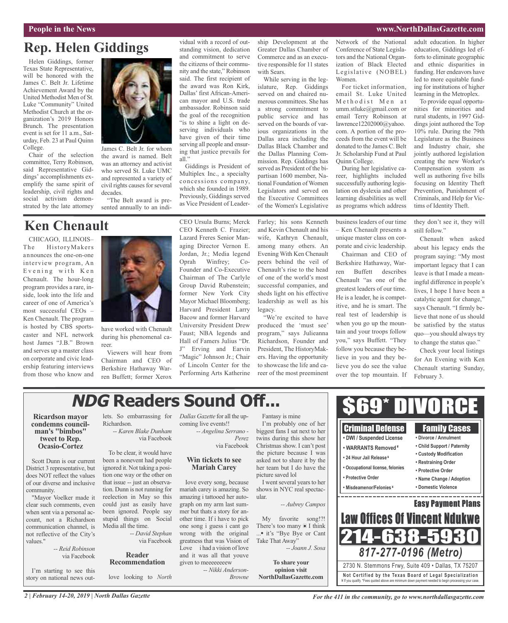#### **People in the News www.NorthDallasGazette.com**

### **Rep. Helen Giddings**

Helen Giddings, former Texas State Representative, will be honored with the James C. Belt Jr. Lifetime Achievement Award by the United Methodist Men of St. Luke "Community" United Methodist Church at the organization's 2019 Honors Brunch. The presentation event is set for 11 a.m., Saturday, Feb. 23 at Paul Quinn College.

Chair of the selection committee, Terry Robinson, said Representative Giddings' accomplishments exemplify the same spirit of leadership, civil rights and social activism demonstrated by the late attorney

### **Ken Chenault**

CHICAGO, ILLINOIS– The HistoryMakers announces the one-on-one interview program, An Evening with Ken Chenault. The hour-long program provides a rare, inside, look into the life and career of one of America's most successful CEOs – Ken Chenault. The program is hosted by CBS sportscaster and NFL network host James "J.B." Brown and serves up a master class on corporate and civic leadership featuring interviews from those who know and



James C. Belt Jr. for whom the award is named. Belt was an attorney and activist who served St. Luke UMC and represented a variety of civil rights causes for several decades.

"The Belt award is presented annually to an individual with a record of outstanding vision, dedication and commitment to serve the citizens of their community and the state," Robinson said. The first recipient of the award was Ron Kirk, Dallas' first African-American mayor and U.S. trade ambassador. Robinson said the goal of the recognition "is to shine a light on deserving individuals who have given of their time serving all people and ensuring that justice prevails for all."

Giddings is President of Multiplex Inc., a specialty concessions company, which she founded in 1989. Previously, Giddings served as Vice President of Leader-

CEO Ursula Burns; Merck CEO Kenneth C. Frazier; Lazard Freres Senior Managing Director Vernon E. Jordan, Jr.; Media legend Oprah Winfrey; Co-Founder and Co-Executive Chairman of The Carlyle Group David Rubenstein; former New York City Mayor Michael Bloomberg; Harvard President Larry Bacow and former Harvard University President Drew Faust; NBA legends and Hall of Famers Julius "Dr. J" Erving and Earvin "Magic" Johnson Jr.; Chair of Lincoln Center for the Performing Arts Katherine

ship Development at the Greater Dallas Chamber of Commerce and as an executive responsible for 11 states with Sears.

While serving in the legislature, Rep. Giddings served on and chaired numerous committees. She has a strong commitment to public service and has served on the boards of various organizations in the Dallas area including the Dallas Black Chamber and the Dallas Planning Commission. Rep. Giddings has served as President of the bipartisan 1600 member, National Foundation of Women Legislators and served on the Executive Committees of the Women's Legislative

Farley; his sons Kenneth and Kevin Chenault and his wife, Kathryn Chenault, among many others. An Evening With Ken Chenault peers behind the veil of Chenault's rise to the head of one of the world's most successful companies, and sheds light on his effective leadership as well as his legacy.

"We're excited to have produced the 'must see' program," says Julieanna Richardson, Founder and President, The HistoryMakers. Having the opportunity to showcase the life and career of the most preeminent

Network of the National Conference of State Legislators and the National Organization of Black Elected Legislative (NOBEL) Women.

For ticket information, email St. Luke United Methodist Men at umm.stluke@gmail.com or email Terry Robinson at lawrence12202000@yahoo. com. A portion of the proceeds from the event will be donated to the James C. Belt Jr. Scholarship Fund at Paul Quinn College.

During her legislative career, highlights included successfully authoring legislation on dyslexia and other learning disabilities as well as programs which address

business leaders of our time – Ken Chenault presents a unique master class on corporate and civic leadership.

Chairman and CEO of Berkshire Hathaway, Warren Buffett describes Chenault "as one of the greatest leaders of our time. He is a leader, he is competitive, and he is smart. The real test of leadership is when you go up the mountain and your troops follow you," says Buffett. "They follow you because they believe in you and they believe you do see the value over the top mountain. If

> Criminal Defense **• DWI / Suspended License**

adult education. In higher education, Giddings led efforts to eliminate geographic and ethnic disparities in funding. Her endeavors have led to more equitable funding for institutions of higher learning in the Metroplex.

To provide equal opportunities for minorities and rural students, in 1997 Giddings joint authored the Top 10% rule. During the 79th Legislature as the Business and Industry chair, she jointly authored legislation creating the new Worker's Compensation system as well as authoring five bills focusing on Identity Theft Prevention, Punishment of Criminals, and Help for Victims of Identity Theft.

they don't see it, they will still follow."

Chenault when asked about his legacy ends the program saying: "My most important legacy that I can leave is that I made a meaningful difference in people's lives, I hope I have been a catalytic agent for change," says Chenault. "I firmly believe that none of us should be satisfied by the status quo—you should always try to change the status quo."

Check your local listings for An Evening with Ken Chenault starting Sunday, February 3.

Family Cases **• Divorce / Annulment**

## **NDG Readers Sound Off...**

**Ricardson mayor condemns council- man's "bimbos" tweet to Rep. Ocasio-Cortez**

Scott Dunn is our current District 3 representative, but does NOT reflect the values of our diverse and inclusive community.

"Mayor Voelker made it clear such comments, even when sent via a personal account, not a Richardson communication channel, is not reflective of the City's values."

> *-- Reid Robinson* via Facebook

I'm starting to see this story on national news out-

lets. So embarrassing for *Dallas Gazette* for all the up-Richardson.

have worked with Chenault during his phenomenal ca-

Viewers will hear from Chairman and CEO of Berkshire Hathaway Warren Buffett; former Xerox

reer.

*-- Karen Blake Dunham* via Facebook

To be clear, it would have been a nonevent had people ignored it. Not taking a position one way or the other on that issue -- just an observation. Dunn is not running for reelection in May so this could just as easily have been ignored. People say stupid things on Social Media all the time.

*-- David Stephan* via Facebook

#### **Reader Recommendation**

love looking to *North*

coming live events!!

*-- Angelina Serrano - Perez* via Facebook

#### **Win tickets to see Mariah Carey**

Iove every song, because mariah carey is amazing. So amazing i tattooed her autograph on my arm last summer but thats a story for another time. If i have to pick one song i guess i cant go wrong with the original greatness that was Vision of Love i had a vision of love and it was all that youve given to meeeeeeeew

*-- Nikki Anderson-Browne*

Fantasy is mine I'm probably one of her biggest fans I sat next to her twins during this show her Christmas show. I can't post the picture because I was asked not to share it by the her team but I do have the

picture saved lol I went several years to her shows in NYC real spectacular.

*-- Aubrey Campos*

My favorite song!?! There's too many  $\blacksquare$  I think ...• it's "Bye Bye or Cant Take That Away" *-- Joann J. Sosa*

**To share your opinion visit NorthDallasGazette.com**



\$69\* DIVORCE

*2 | February 14-20, 2019 | North Dallas Gazette*

*For the 411 in the community, go to www.northdallasgazette.com*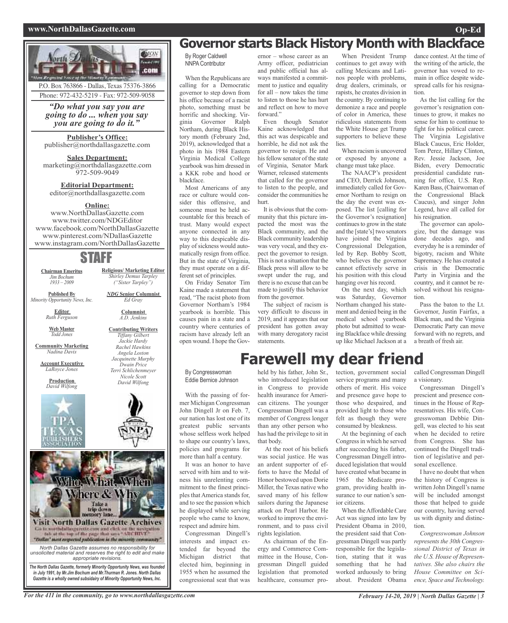#### **www.NorthDallasGazette.com Op-Ed**



*North Dallas Gazette assumes no responsibility for unsolicited material and reserves the right to edit and make appropriate revisions.*

*The North Dallas Gazette, formerly Minority Opportunity News, was founded in July 1991, by Mr.Jim Bochum and Mr.Thurman R. Jones. North Dallas Gazette is a wholly owned subsidairy of Minority Opportunity News, Inc.*

### **Governor starts Black History Month with Blackface**

By Roger Caldwell NNPA Contributor

When the Republicans are calling for a Democratic governor to step down from his office because of a racist photo, something must be horrific and shocking. Virginia Governor Ralph Northam, during Black History month (February 2nd, 2019), acknowledged that a photo in his 1984 Eastern .<br>Virginia Medical College yearbook was him dressed in a KKK robe and hood or blackface.

Most Americans of any race or culture would consider this offensive, and someone must be held accountable for this breach of trust. Many would expect anyone connected in any way to this despicable display of sickness would automatically resign from office. But in the state of Virginia, they must operate on a different set of principles.

On Friday Senator Tim Kaine made a statement that read, "The racist photo from Governor Northam's 1984 yearbook is horrible. This causes pain in a state and a country where centuries of racism have already left an open wound. I hope the Governor – whose career as an Army officer, pediatrician and public official has always manifested a commitment to justice and equality for all – now takes the time to listen to those he has hurt and reflect on how to move forward."

Even though Senator Kaine acknowledged that this act was despicable and horrible, he did not ask the governor to resign. He and his fellow senator of the state of Virginia, Senator Mark Warner, released statements that called for the governor to listen to the people, and consider the communities he hurt.

It is obvious that the community that this picture impacted the most was the Black community, and the Black community leadership was very vocal, and they expect the governor to resign. This is not a situation that the Black press will allow to be swept under the rug, and there is no excuse that can be made to justify this behavior from the governor.

The subject of racism is very difficult to discuss in 2019, and it appears that our president has gotten away with many derogatory racist statements.

**Farewell my dear friend**

When President Trump continues to get away with calling Mexicans and Latinos people with problems, drug dealers, criminals, or rapists, he creates division in the country. By continuing to demonize a race and people of color in America, these ridiculous statements from the White House get Trump supporters to believe these lies.

When racism is uncovered or exposed by anyone a change must take place.

The NAACP's president and CEO, Derrick Johnson, immediately called for Governor Northam to resign on the day the event was exposed. The list [calling for the Governor's resignation] continues to grow in the state and the [state's] two senators have joined the Virginia Congressional Delegation, led by Rep. Bobby Scott, who believes the governor cannot effectively serve in his position with this cloud hanging over his record.

On the next day, which was Saturday, Governor Northam changed his statement and denied being in the medical school yearbook photo but admitted to wearing Blackface while dressing up like Michael Jackson at a

dance contest. At the time of the writing of the article, the governor has vowed to remain in office despite widespread calls for his resignation.

As the list calling for the governor's resignation continues to grow, it makes no sense for him to continue to fight for his political career. The Virginia Legislative Black Caucus, Eric Holder, Tom Perez, Hillary Clinton, Rev. Jessie Jackson, Joe Biden, every Democratic presidential candidate running for office, U.S. Rep. Karen Bass, (Chairwoman of the Congressional Black Caucus), and singer John Legend, have all called for his resignation.

The governor can apologize, but the damage was done decades ago, and everyday he is a reminder of bigotry, racism and White Supremacy. He has created a crisis in the Democratic Party in Virginia and the country, and it cannot be resolved without his resignation.

Pass the baton to the Lt. Governor, Justin Fairfax, a Black man, and the Virginia Democratic Party can move forward with no regrets, and a breath of fresh air.

By Congresswoman Eddie Bernice Johnson

With the passing of former Michigan Congressman John Dingell Jr on Feb. 7, our nation has lost one of its greatest public servants whose selfless work helped to shape our country's laws, policies and programs for more than half a century.

It was an honor to have served with him and to witness his unrelenting commitment to the finest principles that America stands for, and to see the passion which he displayed while serving people who came to know, respect and admire him.

Congressman Dingell's interests and impact extended far beyond the Michigan district that elected him, beginning in 1955 when he assumed the congressional seat that was

#### held by his father, John Sr., who introduced legislation in Congress to provide health insurance for American citizens. The younger Congressman Dingell was a member of Congress longer than any other person who has had the privilege to sit in that body.

At the root of his beliefs was social justice. He was an ardent supporter of efforts to have the Medal of Honor bestowed upon Dorie Miller, the Texas native who saved many of his fellow sailors during the Japanese attack on Pearl Harbor. He worked to improve the environment, and to pass civil rights legislation.

As chairman of the Energy and Commerce Committee in the House, Congressman Dingell guided legislation that promoted healthcare, consumer protection, government social service programs and many others of merit. His voice and presence gave hope to those who despaired, and provided light to those who felt as though they were consumed by bleakness.

At the beginning of each Congressin which he served after succeeding his father, Congressman Dingell introduced legislation that would have created what became in 1965 the Medicare program, providing health insurance to our nation's senior citizens.

When the Affordable Care Act was signed into law by President Obama in 2010, the president said that Congressman Dingell was partly responsible for the legislation, stating that it was something that he had worked arduously to bring about. President Obama

called Congressman Dingell a visionary.

Congressman Dingell's prescient and presence continues in the House of Representatives. His wife, Congresswoman Debbie Dingell, was elected to his seat when he decided to retire from Congress. She has continued the Dingell tradition of legislative and personal excellence.

I have no doubt that when the history of Congress is written John Dingell's name will be included amongst those that helped to guide our country, having served us with dignity and distinction.

*Congresswoman Johnson represents the 30th Congressional District of Texas in the U.S. House of Representatives. She also chairs the House Committee on Science, Space and Technology.*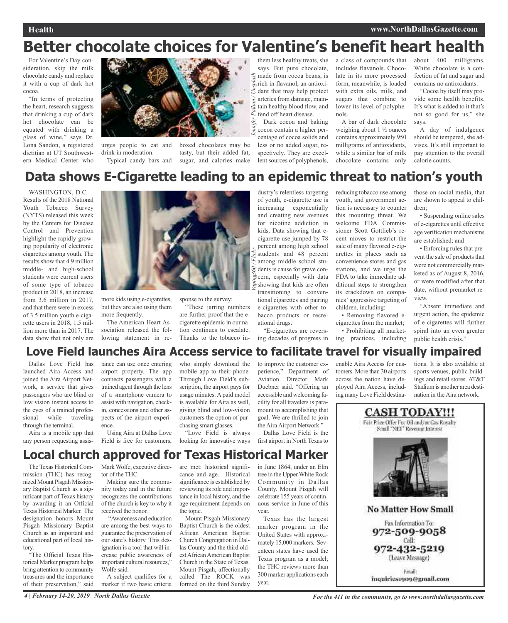# **Better chocolate choices for Valentine's benefit heart health**

For Valentine's Day consideration, skip the milk chocolate candy and replace it with a cup of dark hot cocoa.

"In terms of protecting the heart, research suggests that drinking a cup of dark hot chocolate can be equated with drinking a glass of wine," says Dr. Lona Sandon, a registered dietitian at UT Southwestern Medical Center who



urges people to eat and drink in moderation.

Typical candy bars and sugar, and calories make boxed chocolates may be tasty, but their added fat, them less healthy treats, she says. But pure chocolate, made from cocoa beans, is rich in flavanol, an antioxidant that may help protect arteries from damage, maintain healthy blood flow, and fend off heart disease.

Dark cocoa and baking cocoa contain a higher percentage of cocoa solids and less or no added sugar, respectively. They are excellent sources of polyphenols,

dustry's relentless targeting of youth, e-cigarette use is increasing exponentially and creating new avenues for nicotine addiction in a class of compounds that includes flavanols. Chocolate in its more processed form, meanwhile, is loaded with extra oils, milk, and sugars that combine to lower its level of polyphenols.

A bar of dark chocolate weighing about  $1\frac{1}{2}$  ounces contains approximately 950 milligrams of antioxidants, while a similar bar of milk chocolate contains only

400 White chocolate is a confection of fat and sugar and contains no antioxidants.

"Cocoa by itself may provide some health benefits. It's what is added to it that's not so good for us," she says.

A day of indulgence should be tempered, she advises. It's still important to pay attention to the overall calorie counts.

### **Data shows E-Cigarette leading to an epidemic threat to nation's youth**

WASHINGTON, D.C. -Results of the 2018 National Youth Tobacco Survey (NYTS) released this week by the Centers for Disease Control and Prevention highlight the rapidly growing popularity of electronic cigarettes among youth. The results show that 4.9 million middle- and high-school students were current users of some type of tobacco product in 2018, an increase from 3.6 million in 2017, and that there were in excess of 3.5 million youth e-cigarette users in 2018, 1.5 million more than in 2017. The data show that not only are



more kids using e-cigarettes, but they are also using them more frequently.

The American Heart Association released the following statement in re-

*Vaping360 / Flickr Jennifer Pallian / Unsplash* sponse to the survey: "These jarring numbers are further proof that the ecigarette epidemic in our nakids. Data showing that ecigarette use jumped by 78 percent among high school students and 48 percent among middle school students is cause for grave con- $\mathbb{R}^d$  cern, especially with data showing that kids are often transitioning to conventional cigarettes and pairing e-cigarettes with other tobacco products or recreational drugs.

> "E-cigarettes are reversing decades of progress in

reducing tobacco use among youth, and government action is necessary to counter this mounting threat. We welcome FDA Commissioner Scott Gottlieb's recent moves to restrict the sale of many flavored e-cigarettes in places such as convenience stores and gas stations, and we urge the FDA to take immediate additional steps to strengthen its crackdown on companies' aggressive targeting of children, including:

• Removing flavored ecigarettes from the market; • Prohibiting all marketing practices, including those on social media, that are shown to appeal to children;

• Suspending online sales of e-cigarettes until effective age verification mechanisms are established; and

• Enforcing rules that prevent the sale of products that were not commercially marketed as of August 8, 2016, or were modified after that date, without premarket review.

"Absent immediate and urgent action, the epidemic of e-cigarettes will further spiral into an even greater public health crisis."

### **Love Field launches Aira Access service to facilitate travel for visually impaired**

Dallas Love Field has launched Aira Access and joined the Aira Airport Network, a service that gives passengers who are blind or low vision instant access to the eyes of a trained profes-<br>sional while traveling sional while traveling through the terminal.

Aira is a mobile app that any person requesting assis-

tance can use once entering airport property. The app connects passengers with a trained agent through the lens of a smartphone camera to assist with navigation, checkin, concessions and other aspects of the airport experience.

Using Aira at Dallas Love Field is free for customers, who simply download the mobile app to their phone. Through Love Field's subscription, the airport pays for usage minutes. A paid model is available for Aira as well, giving blind and low-vision customers the option of purchasing smart glasses.

tion continues to escalate. Thanks to the tobacco in-

"Love Field is always looking for innovative ways to improve the customer experience," Department of Aviation Director Mark Duebner said. "Offering an accessible and welcoming facility for all travelers is paramount to accomplishing that goal. We are thrilled to join the Aira Airport Network."

Dallas Love Field is the first airport in North Texas to

enable Aira Access for customers. More than 30 airports across the nation have deployed Aira Access, including many Love Field destinations. It is also available at sports venues, public buildings and retail stores. AT&T Stadium is another area destination in the Aira network.



### **Local church approved for Texas Historical Marker**

The Texas Historical Commission (THC) has recognized Mount Pisgah Missionary Baptist Church as a significant part of Texas history by awarding it an Official Texas Historical Marker. The designation honors Mount Pisgah Missionary Baptist Church as an important and educational part of local history.

"The Official Texas Historical Marker program helps bring attention to community treasures and the importance of their preservation," said

MarkWolfe, executive director of the THC.

Making sure the community today and in the future recognizes the contributions of the church is key to why it received the honor.

"Awareness and education are among the best ways to guarantee the preservation of our state's history. This designation is a tool that will increase public awareness of important cultural resources," Wolfe said.

A subject qualifies for a marker if two basic criteria are met: historical significance and age. Historical significance is established by reviewing its role and importance in local history, and the age requirement depends on the topic.

Mount Pisgah Missionary Baptist Church is the oldest African American Baptist Church Congregation in Dallas County and the third oldestAfricanAmerican Baptist Church in the State of Texas. Mount Pisgah, affectionally called The ROCK was formed on the third Sunday

in June 1864, under an Elm tree in the UpperWhite Rock Community in Dallas County. Mount Pisgah will celebrate 155 years of continuous service in June of this year.

Texas has the largest marker program in the United States with approximately 15,000 markers. Seventeen states have used the Texas program as a model; the THC reviews more than 300 marker applications each year.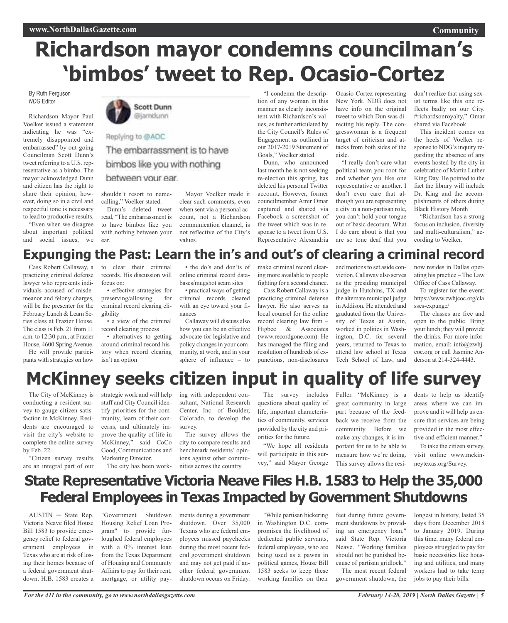# **Richardson mayor condemns councilman's 'bimbos' tweet to Rep. Ocasio-Cortez**

By Ruth Ferguson *NDG* Editor

Richardson Mayor Paul Voelker issued a statement indicating he was "extremely disappointed and embarrassed" by out-going Councilman Scott Dunn's tweet referring to a U.S. representative as a bimbo. The mayor acknowledged Dunn and citizen has the right to share their opinion, however, doing so in a civil and respectful tone is necessary to lead to productive results.

"Even when we disagree about important political and social issues, we

**Scott Dunn** @jamdunn

### Replying to @AOC The embarrassment is to have bimbos like you with nothing between your ear.

shouldn't resort to namecalling," Voelker stated.

Dunn's deleted tweet read, "The embarrassment is to have bimbos like you with nothing between your ear.

Mayor Voelker made it clear such comments, even when sent via a personal account, not a Richardson communication channel, is not reflective of the City's values.

"I condemn the description of any woman in this manner as clearly inconsistent with Richardson's values, as further articulated by the City Council's Rules of Engagement as outlined in our 2017-2019 Statement of Goals," Voelker stated.

Dunn, who announced last month he is not seeking re-election this spring, has deleted his personal Twitter account. However, former councilmember Amir Omar captured and shared via Facebook a screenshot of the tweet which was in response to a tweet from U.S. Representative Alexandria

Ocasio-Cortez representing New York. NDG does not have info on the original tweet to which Dun was directing his reply. The congresswoman is a frequent target of criticism and attacks from both sides of the aisle.

"I really don't care what political team you root for and whether you like one representative or another. I don't even care that although you are representing a city in a non-partisan role, you can't hold your tongue out of basic decorum. What I do care about is that you are so tone deaf that you

don't realize that using sexist terms like this one reflects badly on our City. #richardsonroyalty," Omar shared via Facebook.

**Community**

This incident comes on the heels of Voelker response to NDG's inquiry regarding the absence of any events hosted by the city in celebration of Martin Luther King Day. He pointed to the fact the library will include Dr. King and the accomplishments of others during Black History Month

"Richardson has a strong focus on inclusion, diversity and multi-culturalism," according to Voelker.

### **Expunging the Past: Learn the in's and out's of clearing a criminal record**

Cass Robert Callaway, a practicing criminal defense lawyer who represents individuals accused of misdemeanor and felony charges, will be the presenter for the February Lunch & Learn Series class at Frazier House. The class is Feb. 21 from 11 a.m. to 12:30 p.m., at Frazier House, 4600 SpringAvenue.

He will provide participants with strategies on how to clear their criminal records. His discussion will focus on:

• effective strategies for preserving/allowing for criminal record clearing eligibility

• a view of the criminal record clearing process

• alternatives to getting around criminal record history when record clearing isn't an option

• the do's and don'ts of online criminal record databases/mugshot scam sites

• practical ways of getting criminal records cleared with an eye toward your finances

Callaway will discuss also how you can be an effective advocate for legislative and policy changes in your community, at work, and in your sphere of influence – to make criminal record clearing more available to people fighting for a second chance.

Cass Robert Callaway is a practicing criminal defense lawyer. He also serves as local counsel for the online record clearing law firm – Higbee & Associates (www.recordgone.com). He has managed the filing and resolution of hundreds of expunctions, non-disclosures and motions to set aside conviction. Callaway also serves as the presiding municipal judge in Hutchins, TX and the alternate municipal judge in Addison. He attended and graduated from the University of Texas at Austin, worked in politics in Washington, D.C. for several years, returned to Texas to attend law school at Texas Tech School of Law, and

now resides in Dallas operating his practice – The Law Office of Cass Callaway.

To register for the event: https://www.zwhjcoc.org/cla sses-expunge/

The classes are free and open to the public. Bring your lunch; they will provide the drinks. For more information, email: info@zwhjcoc.org or call Jasmine Anderson at 214-324-4443.

## **McKinney seeks citizen input in quality of life survey**

The City of McKinney is conducting a resident survey to gauge citizen satisfaction in McKinney. Residents are encouraged to visit the city's website to complete the online survey by Feb. 22.

"Citizen survey results are an integral part of our

strategic work and will help staff and City Council identify priorities for the community, learn of their concerns, and ultimately improve the quality of life in McKinney," said CoCo Good, Communications and Marketing Director.

The city has been work-

ing with independent consultant, National Research Center, Inc. of Boulder, Colorado, to develop the survey.

The survey allows the city to compare results and benchmark residents' opinions against other communities across the country.

The survey includes questions about quality of life, important characteristics of community, services provided by the city and priorities for the future.

"We hope all residents will participate in this survey," said Mayor George Fuller. "McKinney is a great community in large part because of the feedback we receive from the community. Before we make any changes, it is important for us to be able to measure how we're doing. This survey allows the residents to help us identify areas where we can improve and it will help us ensure that services are being provided in the most effective and efficient manner."

To take the citizen survey, visit online www.mckinneytexas.org/Survey.

### **State Representative Victoria Neave Files H.B. 1583 to Help the 35,000 Federal Employees in Texas Impacted by Government Shutdowns**

 $AUSTIN - State Rep.$ Victoria Neave filed House Bill 1583 to provide emergency relief to federal government employees in Texas who are at risk of losing their homes because of a federal government shutdown. H.B. 1583 creates a

"Government Shutdown Housing Relief Loan Program" to provide furloughed federal employees with a 0% interest loan from the Texas Department of Housing and Community Affairs to pay for their rent, mortgage, or utility pay-

ments during a government shutdown. Over 35,000 Texans who are federal employees missed paychecks during the most recent federal government shutdown and may not get paid if another federal government shutdown occurs on Friday.

"While partisan bickering in Washington D.C. compromises the livelihood of dedicated public servants, federal employees, who are being used as a pawns in political games, House Bill 1583 seeks to keep these working families on their

feet during future government shutdowns by providing an emergency loan," said State Rep. Victoria Neave. "Working families should not be punished because of partisan gridlock." The most recent federal government shutdown, the

longest in history, lasted 35 days from December 2018 to January 2019. During this time, many federal employees struggled to pay for basic necessities like housing and utilities, and many workers had to take temp jobs to pay their bills.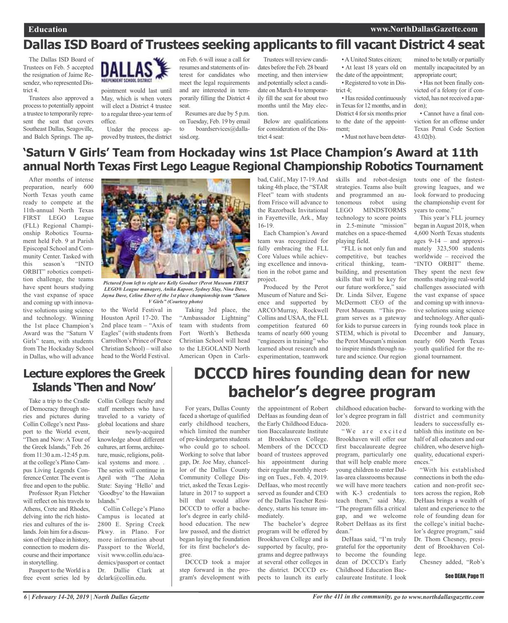### **Dallas ISD Board of Trustees seeking applicants to fill vacant District 4 seat**

The Dallas ISD Board of Trustees on Feb. 5 accepted the resignation of Jaime Resendez, who represented District 4.

Trustees also approved a processto potentially appoint a trustee to temporarily represent the seat that covers Southeast Dallas, Seagoville, and Balch Springs. The ap-



pointment would last until May, which is when voters will elect a District 4 trustee to a regular three-year term of office.

Under the process approved by trustees, the district

on Feb. 6 will issue a call for resumes and statements of interest for candidates who meet the legal requirements and are interested in temporarily filling the District 4 seat.

Resumes are due by 5 p.m. on Tuesday, Feb. 19 by email to boardservices@dallasisd.org.

Trustees will review candidates before the Feb. 28 board meeting, and then interview and potentially select a candidate on March 4 to temporarily fill the seat for about two months until the May election.

Below are qualifications for consideration of the District 4 seat:

• A United States citizen; • At least 18 years old on

the date of the appointment; • Registered to vote in Dis-

trict 4; • Has resided continuously

in Texas for 12 months, and in District 4 for six months prior to the date of the appointment;

• Must not have been deter-

mined to be totally or partially mentally incapacitated by an appropriate court;

• Has not been finally convicted of a felony (or if convicted, has not received a pardon);

• Cannot have a final conviction for an offense under Texas Penal Code Section 43.02(b).

### **'Saturn V Girls' Team from Hockaday wins 1st Place Champion's Award at 11th annual North Texas First Lego League Regional Championship Robotics Tournament**

After months of intense preparation, nearly 600 North Texas youth came ready to compete at the 11th-annual North Texas FIRST LEGO League (FLL) Regional Championship Robotics Tournament held Feb. 9 at Parish Episcopal School and Community Center. Tasked with this season's "INTO ORBIT" robotics competition challenge, the teams have spent hours studying the vast expanse of space and coming up with innovative solutions using science and technology. Winning the 1st place Champion's Award was the "Saturn V Girls" team, with students from The Hockaday School in Dallas, who will advance



*LEGO® League manager), Anika Kapoor, Sydney Slay, Nina Dave, Jayna Dave, Celine Ebert of the 1st place championship team "Saturn V Girls" (Courtesy photo)*

to the World Festival in Houston April 17-20. The 2nd place team – "Axis of Eagles" (with students from Carrollton's Prince of Peace Christian School) – will also head to the World Festival.

Taking 3rd place, the "Ambassador Lightning" team with students from Fort Worth's Bethesda Christian School will head

to the LEGOLAND North American Open in Carlsbad, Calif., May 17-19. And taking 4th place, the "STAR Fleet" team with students from Frisco will advance to the Razorback Invitational in Fayetteville, Ark., May 16-19.

Each Champion's Award team was recognized for fully embracing the FLL Core Values while achieving excellence and innovation in the robot game and project.

Produced by the Perot Museum of Nature and Science and supported by ARCO/Murray, Rockwell Collins and USAA, the FLL competition featured 60 teams of nearly 600 young "engineers in training" who learned about research and experimentation, teamwork

skills and robot-design strategies. Teams also built and programmed an autonomous robot using LEGO MINDSTORMS technology to score points in 2.5-minute "mission" matches on a space-themed playing field.

"FLL is not only fun and competitive, but teaches critical thinking, teambuilding, and presentation skills that will be key for our future workforce," said Dr. Linda Silver, Eugene McDermott CEO of the Perot Museum. "This program serves as a gateway for kids to pursue careers in STEM, which is pivotal to the Perot Museum's mission to inspire minds through nature and science. Our region

touts one of the fastestgrowing leagues, and we look forward to producing the championship event for years to come."

This year's FLL journey began inAugust 2018, when 4,600 North Texas students ages 9-14 – and approximately 323,500 students worldwide – received the "INTO ORBIT" theme. They spent the next few months studying real-world challenges associated with the vast expanse of space and coming up with innovative solutions using science and technology. After qualifying rounds took place in December and January, nearly 600 North Texas youth qualified for the regional tournament.

### **Lecture explores the Greek Islands 'Then and Now'**

Take a trip to the Cradle of Democracy through stories and pictures during Collin College's next Passport to the World event, "Then and Now: A Tour of the Greek Islands," Feb. 26 from 11:30 a.m.-12:45 p.m. at the college's Plano Campus Living Legends Conference Center.The event is free and open to the public.

Professor Ryan Fletcher will reflect on his travels to Athens, Crete and Rhodes, delving into the rich histories and cultures of the islands. Join him for a discussion of their place in history, connection to modern discourse and their importance in storytelling.

Passport to the World is a free event series led by

Collin College faculty and staff members who have traveled to a variety of global locations and share their newly-acquired knowledge about different cultures, art forms, architecture, music, religions, political systems and more. . The series will continue in April with "The Aloha State: Saying 'Hello' and 'Goodbye' to the Hawaiian Islands." Collin College's Plano

Campus is located at 2800 E. Spring Creek Pkwy. in Plano. For more information about Passport to the World, visit www.collin.edu/academics/passport or contact Dr. Dallie Clark at dclark@collin.edu.

### **DCCCD hires founding dean for new bachelor's degree program**

For years, Dallas County faced a shortage of qualified early childhood teachers, which limited the number of pre-kindergarten students who could go to school. Working to solve that labor gap, Dr. Joe May, chancellor of the Dallas County Community College District, asked the Texas Legislature in 2017 to support a bill that would allow DCCCD to offer a bachelor's degree in early childhood education. The new law passed, and the district began laying the foundation for its first bachelor's degree.

DCCCD took a major step forward in the program's development with

the appointment of Robert DeHaas as founding dean of the Early Childhood Education Baccalaureate Institute at Brookhaven College. Members of the DCCCD board of trustees approved his appointment during their regular monthly meeting on Tues., Feb. 4, 2019. DeHaas, who most recently served as founder and CEO of the Dallas Teacher Residency, starts his tenure immediately.

The bachelor's degree program will be offered by Brookhaven College and is supported by faculty, programs and degree pathways at several other colleges in the district. DCCCD expects to launch its early

childhood education bachelor's degree program in fall 2020.

"We are excited Brookhaven will offer our first baccalaureate degree program, particularly one that will help enable more young children to enter Dallas-area classrooms because we will have more teachers with K-3 credentials to teach them," said May. "The program fills a critical gap, and we welcome Robert DeHaas as its first dean."

DeHaas said, "I'm truly grateful for the opportunity to become the founding dean of DCCCD's Early Childhood Education Baccalaureate Institute. I look

forward to working with the district and community leaders to successfully establish this institute on behalf of all educators and our children, who deserve highquality, educational experiences."

"With his established connections in both the education and non-profit sectors across the region, Rob DeHaas brings a wealth of talent and experience to the role of founding dean for the college's initial bachelor's degree program," said Dr. Thom Chesney, president of Brookhaven College.

Chesney added, "Rob's

#### See DEAN, Page 11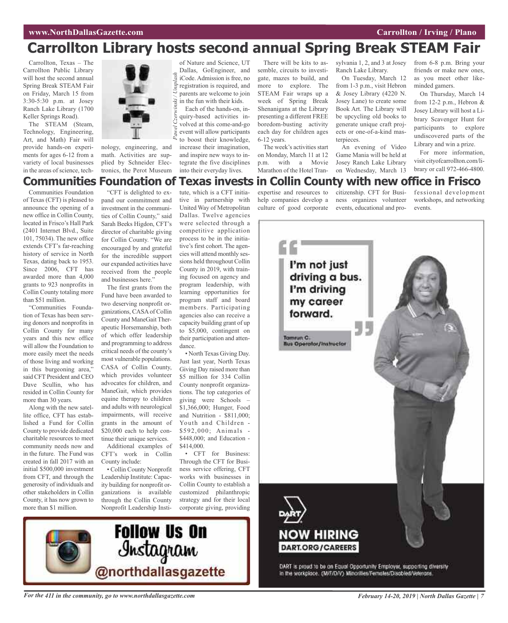### **Carrollton Library hosts second annual Spring Break STEAM Fair**

Carrollton, Texas – The Carrollton Public Library will host the second annual Spring Break STEAM Fair on Friday, March 15 from 3:30-5:30 p.m. at Josey Ranch Lake Library (1700 Keller Springs Road).

The STEAM (Steam, Technology, Engineering, Art, and Math) Fair will provide hands-on experiments for ages 6-12 from a variety of local businesses in the areas of science, tech-



nology, engineering, and math. Activities are supplied by Schneider Electronics, the Perot Museum

of Nature and Science, UT Dallas, GoEngineer, and  $\sum_{i=1}^{\infty}$  iCode. Admission is free, no registration is required, and parents are welcome to join  $\ddot{\ddot{\varepsilon}}$  in the fun with their kids.

*Pawel Czerwinski / Unsplash* Each of the hands-on, inquiry-based activities involved at this come-and-go event will allow participants to boost their knowledge, increase their imagination, and inspire new ways to integrate the five disciplines into their everyday lives.

There will be kits to assemble, circuits to investigate, mazes to build, and more to explore. The STEAM Fair wraps up a week of Spring Break Shenanigans at the Library presenting a different FREE boredom-busting activity each day for children ages 6-12 years.

The week's activities start on Monday, March 11 at 12 p.m. with a Movie Marathon of the Hotel Tran-

expertise and resources to citizenship. CFT for Busihelp companies develop a ness organizes volunteer culture of good corporate events, educational and pro-

sylvania 1, 2, and 3 at Josey Ranch Lake Library.

On Tuesday, March 12 from 1-3 p.m., visit Hebron & Josey Library (4220 N. Josey Lane) to create some Book Art. The Library will be upcycling old books to generate unique craft projects or one-of-a-kind masternieces.

An evening of Video Game Mania will be held at Josey Ranch Lake Library on Wednesday, March 13

from 6-8 p.m. Bring your friends or make new ones, as you meet other likeminded gamers.

On Thursday, March 14 from 12-2 p.m., Hebron & Josey Library will host a Library Scavenger Hunt for participants to explore undiscovered parts of the Library and win a prize.

For more information, visit cityofcarrollton.com/library or call 972-466-4800.

workshops, and networking

events.

### fessional development **Communities Foundation of Texas invests in Collin County with new office in Frisco**

Communities Foundation of Texas (CFT) is pleased to announce the opening of a new office in Collin County, located in Frisco's Hall Park (2401 Internet Blvd., Suite 101, 75034). The new office extends CFT's far-reaching history of service in North Texas, dating back to 1953. Since 2006, CFT has awarded more than 4,000 grants to 923 nonprofits in Collin County totaling more than \$51 million.

"Communities Foundation of Texas has been serving donors and nonprofits in Collin County for many years and this new office will allow the Foundation to more easily meet the needs of those living and working in this burgeoning area, said CFT President and CEO Dave Scullin, who has resided in Collin County for more than 30 years.

Along with the new satellite office, CFT has established a Fund for Collin County to provide dedicated charitable resources to meet community needs now and in the future. The Fund was created in fall 2017 with an initial \$500,000 investment from CFT, and through the generosity of individuals and other stakeholders in Collin County, it has now grown to more than \$1 million.

"CFT is delighted to expand our commitment and investment in the communities of Collin County," said Sarah Beeks Higdon, CFT's director of charitable giving for Collin County. "We are encouraged by and grateful for the incredible support our expanded activities have received from the people and businesses here."

The first grants from the Fund have been awarded to two deserving nonprofit organizations, CASAof Collin County and ManeGait Therapeutic Horsemanship, both of which offer leadership and programming to address critical needs of the county's most vulnerable populations. CASA of Collin County, which provides volunteer advocates for children, and ManeGait, which provides equine therapy to children and adults with neurological impairments, will receive grants in the amount of \$20,000 each to help continue their unique services.

Additional examples of CFT's work in Collin County include:

• Collin County Nonprofit Leadership Institute: Capacity building for nonprofit organizations is available through the Collin County Nonprofit Leadership Insti-

tute, which is a CFT initiative in partnership with United Way of Metropolitan Dallas. Twelve agencies were selected through a competitive application process to be in the initiative's first cohort. The agencies will attend monthly sessions held throughout Collin County in 2019, with training focused on agency and program leadership, with learning opportunities for program staff and board members. Participating agencies also can receive a capacity building grant of up to \$5,000, contingent on their participation and attendance.

• North Texas Giving Day. Just last year, North Texas Giving Day raised more than \$5 million for 334 Collin County nonprofit organizations. The top categories of giving were Schools – \$1,366,000; Hunger, Food and Nutrition - \$811,000; Youth and Children - \$592,000; Animals - \$448,000; and Education - \$414,000.

• CFT for Business: Through the CFT for Business service offering, CFT works with businesses in Collin County to establish a customized philanthropic strategy and for their local corporate giving, providing



DART is proud to be an Equal Opportunity Employer, supporting diversity in the workplace. (M/F/D/V) Minorilles/Ternoles/Disabled/Veterans



For the 411 in the community, go to www.northdallasgazette.com February 14-20, 2019 | North Dallas Gazette | 7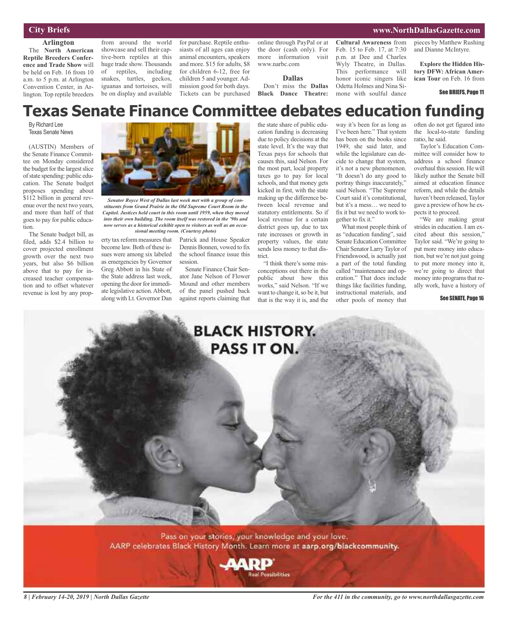### **City Briefs**

#### **www.NorthDallasGazette.com**

#### **Arlington**

The **North American Reptile Breeders Conference and Trade Show** will be held on Feb. 16 from 10 a.m. to 5 p.m. at Arlington Convention Center, in Arlington. Top reptile breeders

from around the world showcase and sell their captive-born reptiles at this huge trade show. Thousands of reptiles, including snakes, turtles, geckos, iguanas and tortoises, will be on display and available

for purchase. Reptile enthusiasts of all ages can enjoy animal encounters, speakers and more. \$15 for adults, \$8 for children 6-12, free for children 5 and younger. Admission good for both days. Tickets can be purchased online through PayPal or at the door (cash only). For more information visit www.narbc.com

**Dallas**

Don't miss the **Dallas Black Dance Theatre:** **Cultural Awareness** from Feb. 15 to Feb. 17, at 7:30 p.m. at Dee and Charles Wyly Theatre, in Dallas. This performance will honor iconic singers like Odetta Holmes and Nina Simone with soulful dance

pieces by Matthew Rushing and Dianne McIntyre.

**Explore the Hidden History DFW: African American Tour** on Feb. 16 from

#### See BRIEFS, Page 11

### **Texas Senate Finance Committee debates education funding**

By Richard Lee Texas Senate News

(AUSTIN) Members of the Senate Finance Committee on Monday considered the budget for the largest slice of state spending: public education. The Senate budget proposes spending about \$112 billion in general revenue over the next two years, and more than half of that goes to pay for public education.

The Senate budget bill, as filed, adds \$2.4 billion to cover projected enrollment growth over the next two years, but also \$6 billion above that to pay for increased teacher compensation and to offset whatever revenue is lost by any prop-



*Senator Royce West of Dallas last week met with a group of constituents from Grand Prairie in the Old Supreme Court Room in the Capitol. Justices held court in this room until 1959, when they moved into their own building. The room itself was restored in the '90s and now serves as a historical exhibit open to visitors as well as an occasional meeting room. (Courtesy photo)*

erty tax reform measures that Patrick and House Speaker become law. Both of these issues were among six labeled as emergencies by Governor Greg Abbott in his State of the State address last week, opening the door for immediate legislative action.Abbott, along with Lt. Governor Dan

Dennis Bonnen, vowed to fix the school finance issue this

session. Senate Finance Chair Senator Jane Nelson of Flower Mound and other members of the panel pushed back against reports claiming that

the state share of public education funding is decreasing due to policy decisions at the state level. It's the way that Texas pays for schools that causes this, said Nelson. For the most part, local property taxes go to pay for local schools, and that money gets kicked in first, with the state making up the difference between local revenue and statutory entitlements. So if local revenue for a certain district goes up, due to tax rate increases or growth in property values, the state sends less money to that district.

"I think there's some misconceptions out there in the public about how this works," said Nelson. "If we want to change it, so be it, but that is the way it is, and the

way it's been for as long as I've been here." That system has been on the books since 1949, she said later, and while the legislature can decide to change that system, it's not a new phenomenon. "It doesn't do any good to portray things inaccurately," said Nelson. "The Supreme Court said it's constitutional, but it's a mess… we need to fix it but we need to work together to fix it."

What most people think of as "education funding", said Senate Education Committee Chair Senator LarryTaylor of Friendswood, is actually just a part of the total funding called "maintenance and operation." That does include things like facilities funding, instructional materials, and other pools of money that

often do not get figured into the local-to-state funding ratio, he said.

Taylor's Education Committee will consider how to address a school finance overhaul this session. He will likely author the Senate bill aimed at education finance reform, and while the details haven't been released, Taylor gave a preview of how he expects it to proceed.

"We are making great strides in education. I am excited about this session," Taylor said. "We're going to put more money into education, but we're not just going to put more money into it, we're going to direct that money into programs that really work, have a history of

See SENATE, Page 16



Pass on your stories, your knowledge and your love. AARP celebrates Black History Month. Learn more at aarp.org/blackcommunity.



*8 | February 14-20, 2019 | North Dallas Gazette*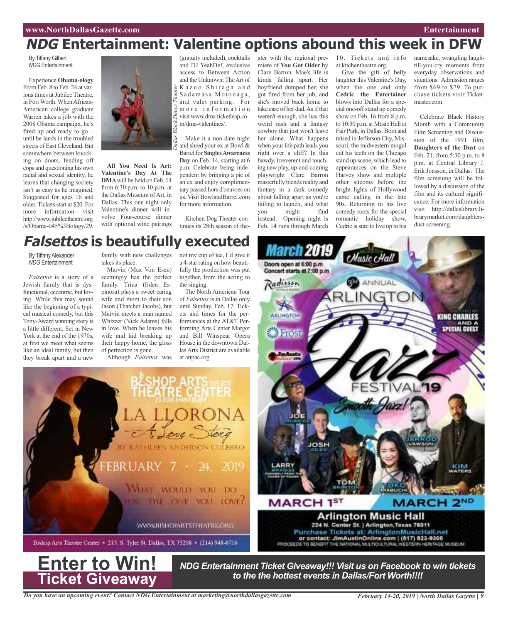### **NDG Entertainment: Valentine options abound this week in DFW**

By Tiffany Gilbert *NDG* Entertainment

Experience **Obama-ology** From Feb. 8 to Feb. 24 at various times at Jubilee Theatre, in Fort Worth. When African-American college graduate Warren takes a job with the 2008 Obama campaign, he's fired up and ready to go – until he lands in the troubled streets of East Cleveland. But somewhere between knocking on doors, fending off cops and questioning his own racial and sexual identity, he learns that changing society isn't as easy as he imagined. Suggested for ages 16 and older. Tickets start at \$20. For more information visit http://www.jubileetheatre.org /s/Obama-045%3Bology/29.



**All You Need Is Art: Valentine's Day At The DMA**will be held on Feb. 14 from 6:30 p.m. to 10 p.m. at the Dallas Museum of Art, in Dallas. This one-night-only Valentine's dinner will involve Four-course dinner with optional wine pairings

(gratuity included), cocktails and DJ YeahDef, exclusive access to Between Action and the Unknown: The Art of Kazuo Shiraga and Sadamasa Motonaga, and valet parking. For m o r e in f o r m a t i o n visit www.dma.ticketleap.co m/dma-valentines/.

Make it a non-date night and shred your ex at Bowl & **Barrel for Singles Awareness Day** on Feb. 14, starting at 6 p.m. Celebrate being independent by bringing a pic of an ex and enjoy complimentary passed hors d'oeuvres on us. Visit BowlandBarrel.com for more information.

Kitchen Dog Theater continues its 28th season of the-

not my cup of tea, I'd give it a 4-star rating on how beautifully the production was put together, from the acting to

The North American Tour of *Falsettos* is in Dallas only until Sunday, Feb. 17. Tickets and times for the performances at the AT&T Performing Arts Center Margot and Bill Winspear Opera House in the downtown Dallas Arts District are available

the singing.

at attpac.org.

ater with the regional premiere of **You Got Older** by Clare Barron. Mae's life is kinda falling apart. Her boyfriend dumped her, she got fired from her job, and she's moved back home to take care of her dad. As if that weren't enough, she has this weird rash and a fantasy cowboy that just won't leave her alone. What happens when your life path leads you right over a cliff? In this bawdy, irreverent and touching new play, up-and-coming playwright Clare Barron masterfully blends reality and fantasy in a dark comedy about falling apart as you're failing to launch, and what you might find instead. Opening night is Feb. 14 runs through March

10. Tickets and info at kitchentheatre.org.

Give the gift of belly laughter this Valentine's Day, when the one and only **Cedric the Entertainer** blows into Dallas for a special one-offstand up comedy show on Feb. 16 from 8 p.m. to 10:30 p.m. at Music Hall at Fair Park, in Dallas. Born and raised in Jefferson City, Missouri, the midwestern mogul cut his teeth on the Chicago stand up scene, which lead to appearances on the Steve Harvey show and multiple other sitcoms before the bright lights of Hollywood came calling in the late 90s. Returning to his live comedy roots for the special romantic holiday show, Cedric is sure to live up to his

namesake, wrangling laughtill-you-cry moments from everyday observations and situations. Admission ranges from \$69 to \$79. To purchase tickets visit Ticketmaster.com.

Celebrate Black History Month with a Community Film Screening and Discussion of the 1991 film, **Daughters of the Dust** on Feb. 21, from 5:30 p.m. to 8 p.m. at Central Library J. Erik Jonsson, in Dallas. The film screening will be followed by a discussion of the film and its cultural significance. For more information visit http://dallaslibrary.librarymarket.com/daughtersdust-screening.

### **Falsettos is beautifully executed**

#### By Tiffany Alexander *NDG* Entertainment

*Falsettos* is a story of a Jewish family that is dysfunctional, eccentric, but loving. While this may sound like the beginning of a typical musical comedy, but this Tony-Award winning story is a little different. Set in New York at the end of the 1970s, at first we meet what seems like an ideal family, but then they break apart and a new

family with new challenges takes its place.

Marvin (Max Von Esen) seemingly has the perfect family. Trina (Eden Espinosa) plays a sweet caring wife and mom to their son Jason (Thatcher Jacobs), but Marvin meets a man named Whizzer (Nick Adams) falls in love. When he leaves his wife and kid breaking up their happy home, the gloss of perfection is gone.

Although *Falsettos* was







*NDG Entertainment Ticket Giveaway!!! Visit us on Facebook to win tickets to the the hottest events in Dallas/Fort Worth!!!!*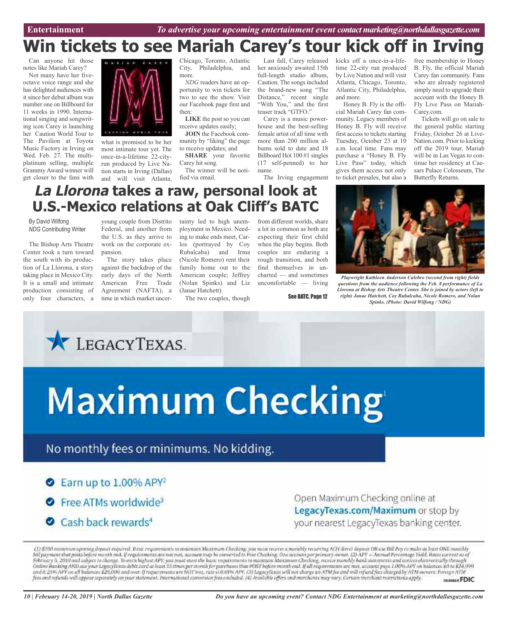# **Win tickets to see Mariah Carey's tour kick off in Irving**

Can anyone hit those notes like Mariah Carey?

Not many have her fiveoctave voice range and she has delighted audiences with it since her debut album was number one on Billboard for 11 weeks in 1990. International singing and songwriting icon Carey is launching her Caution World Tour to The Pavilion at Toyota Music Factory in Irving on Wed. Feb. 27. The multiplatinum selling, multiple Grammy Award winner will get closer to the fans with



what is promised to be her most intimate tour yet. The once-in-a-lifetime 22-cityrun produced by Live Nation starts in Irving (Dallas) and will visit Atlanta,

Chicago, Toronto, Atlantic City, Philadelphia, and more.

*NDG* readers have an opportunity to win tickets for two to see the show. Visit our Facebook page first and then:

**LIKE** the post so you can receive updates easily;

**JOIN** the Facebook community by "liking" the page to receive updates; and

**SHARE** your favorite Carey hit song. The winner will be noti-

fied via email.

Last fall, Carey released her anxiously awaited 15th full-length studio album, Caution. The songs included the brand-new song "The Distance," recent single "With You," and the first teaser track "GTFO."

Carey is a music powerhouse and the best-selling female artist of all time with more than 200 million albums sold to date and 18 Billboard Hot 100 #1 singles (17 self-penned) to her name.

The Irving engagement

kicks off a once-in-a-lifetime 22-city run produced by Live Nation and will visit Atlanta, Chicago, Toronto, Atlantic City, Philadelphia, and more.

Honey B. Fly is the official Mariah Carey fan community. Legacy members of Honey B. Fly will receive first access to tickets starting Tuesday, October 23 at 10 a.m. local time. Fans may purchase a "Honey B. Fly Live Pass" today, which gives them access not only to ticket presales, but also a

free membership to Honey B. Fly, the official Mariah Carey fan community. Fans who are already registered simply need to upgrade their account with the Honey B. Fly Live Pass on Mariah-Carey.com.

Tickets will go on sale to the general public starting Friday, October 26 at Live-Nation.com. Prior to kicking off the 2019 tour, Mariah will be in Las Vegas to continue her residency at Caesars Palace Colosseum, The Butterfly Returns.

### **La Llorona takes a raw, personal look at U.S.-Mexico relations at Oak Cliff's BATC**

By David Wilfong *NDG* Contributing Writer

The Bishop Arts Theatre Center took a turn toward the south with its production of La Llorona, a story taking place in Mexico City. It is a small and intimate production consisting of only four characters, a

young couple from Distrito Federal, and another from the U.S. as they arrive to work on the corporate expansion.

The story takes place against the backdrop of the early days of the North American Free Trade Agreement (NAFTA), a time in which market uncer-

tainty led to high unemployment in Mexico. Needing to make ends meet, Carlos (portrayed by Coy Rubalcaba) and Irma (Nicole Romero) rent their family home out to the American couple; Jeffrey (Nolan Spinks) and Liz (Janae Hatchett).

The two couples, though

from different worlds, share a lot in common as both are expecting their first child when the play begins. Both couples are enduring a rough transition, and both find themselves in uncharted — and sometimes uncomfortable — living

See BATC, Page 12



*Playwright Kathleen Anderson Culebro (second from right) fields questions from the audience following the Feb. 8 performance of La Llorona at Bishop Arts Theatre Center. She is joined by actors (left to right) Janae Hatchett, Coy Rubalcaba, Nicole Romero, and Nolan Spinks. (Photo: David Wilfong / NDG)*





**▶ Free ATMs worldwide**<sup>3</sup>

Cash back rewards<sup>4</sup>

Open Maximum Checking online at LegacyTexas.com/Maximum or stop by your nearest LegacyTexas banking center.

(1) \$190 minimum opening deposit required. Bank requirements to maintain Mozimum Checking; you must recove a monthly recorring ACH direct deposit OR use Bill Pay in make at least ONE monthly bill payment that posts before month end. If requirements are not met, account may be converted in Free Checking. One account per primary owner. (2) APY = Annual Percentage Yield. Rates curvent as at February 5, 2019 and subject to change. To each highest APV, you must meet the basic enquirements to maintain Maximum Checking, marine monthly bank statements and notices electronically through Online Banking AND use your LegacyTexus debt card at least 15 times per month for parchases that POST before month end. if all requirements are met, account pays 1,00% APY on balances \$0 to \$24,999<br>and 0.25% APY on all bal MINGLE FDIC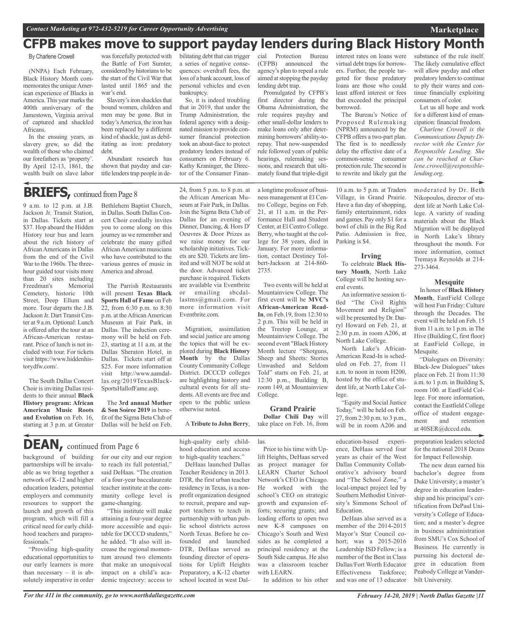### **CFPB makes move to support payday lenders during Black History Month**

#### By Charlene Crowell

(NNPA) Each February, Black History Month commemorates the unique American experience of Blacks in America. This year marks the 400th anniversary of the Jamestown, Virginia arrival of captured and shackled Africans.

In the ensuing years, as slavery grew, so did the wealth of those who claimed our forefathers as 'property'. By April 12-13, 1861, the wealth built on slave labor

was forcefully protected with the Battle of Fort Sumter, considered by historians to be the start of the Civil War that lasted until 1865 and the war's end.

Slavery's iron shackles that bound women, children and men may be gone. But in today'sAmerica, the iron has been replaced by a different kind of shackle, just as debilitating as iron: predatory debt.

Abundant research has shown that payday and cartitle lenders trap people in debilitating debt that can trigger a series of negative consequences: overdraft fees, the loss of a bank account, loss of personal vehicles and even bankruptcy.

So, it is indeed troubling that in 2019, that under the Trump Administration, the federal agency with a designated mission to provide consumer financial protection took an about-face to protect predatory lenders instead of consumers on February 6. Kathy Kraninger, the Director of the Consumer Financial Protection Bureau (CFPB) announced the agency's plan to repeal a rule aimed at stopping the payday lending debt trap.

Promulgated by CFPB's first director during the Obama Administration, the rule requires payday and other small-dollar lenders to make loans only after determining borrowers'ability-torepay. That now-suspended rule followed years of public hearings, rulemaking sessions, and research that ultimately found that triple-digit

interest rates on loans were virtual debt traps for borrowers. Further, the people targeted for these predatory loans are those who could least afford interest or fees that exceeded the principal borrowed.

The Bureau's Notice of Proposed Rulemaking (NPRM) announced by the CFPB offers a two-part plan. The first is to needlessly delay the effective date of a common-sense consumer protection rule.The second is to rewrite and likely gut the

substance of the rule itself. The likely cumulative effect will allow payday and other predatory lenders to continue to ply their wares and continue financially exploiting consumers of color.

**Marketplace**

for a different kind of emancipation: financial freedom.

*Communications Deputy Director with the Center for Responsible Lending. She can be reached at Charlene.crowell@responsiblelending.org.*

### **BRIEFS**, continued from Page 8

9 a.m. to 12 p.m. at J.B. Jackson Jr. Transit Station, in Dallas. Tickets start at \$37. Hop aboard the Hidden History tour bus and learn about the rich history of African Americans in Dallas from the end of the Civil War to the 1960s. The threehour guided tour visits more than 20 sites including Freedman's Memorial Cemetery, historic 10th Street, Deep Ellum and more. Tour departs the J.B. Jackson Jr. Dart Transit Center at 9 a.m. Optional: Lunch is offered after the tour at an African-American restaurant. Price of lunch is not included with tour. For tickets visit https://www.hiddenhistorydfw.com/.

The South Dallas Concert Choir is inviting Dallas residents to their annual **Black History program: African American Music Roots and Evolution** on Feb. 16, starting at 3 p.m. at Greater

Bethlehem Baptist Church, in Dallas. South Dallas Concert Choir cordially invites you to come along on this journey as we remember and celebrate the many gifted African American musicians who have contributed to the various genres of music in America and abroad.

The Parrish Restaurants will present **Texas Black Sports Hall of Fame** on Feb 22, from 6:30 p.m. to 8:30 p.m. at the African American Museum at Fair Park, in Dallas. The induction ceremony will be held on Feb. 23, starting at 11 a.m. at the Dallas Sheraton Hotel, in Dallas. Tickets start off at \$25. For more information visit http://www.aamdallas.org/2019TexasBlack-SportsHallofFame.asp.

The **3rd annual Mother & Son Soiree 2019** in benefit of the Sigma Beta Club of Dallas will be held on Feb.

24, from 5 p.m. to 8 p.m. at the African American Museum at Fair Park, in Dallas. Join the Sigma Beta Club of Dallas for an evening of Dinner, Dancing, & Hors D' Oeuvres & Door Prizes as we raise money for our scholarship initiatives. Tickets are \$20. Tickets are limited and will NOT be sold at the door. Advanced ticket purchase is required. Tickets are available via Eventbrite or emailing sbcdallastms@gmail.com. For more information visit Eventbrite.com.

Migration, assimilation and social justice are among the topics that will be explored during **Black History Month** by the Dallas County Community College District. DCCCD colleges are highlighting history and cultural events for all students.All events are free and open to the public unless otherwise noted.

A**Tribute to John Berry**,

a longtime professor of business management at El Centro College, begins on Feb. 21, at 11 a.m. in the Performance Hall and Student Center, at El Centro College. Berry, who taught at the college for 38 years, died in January. For more information, contact Destiney Tolbert-Jackson at 214-860- 2735.

Two events will be held at Mountainview College. The first event will be **MVC's African-American Read-In**, on Feb.19, from 12:30 to 2 p.m. This will be held in the Treetop Lounge, at Mountainview College. The second event "Black History Month lecture "Shotguns, Sheep and Sheets: Stories Unwashed and Seldom Told" starts on Feb. 21, at 12:30 p.m., Building B, room 149, at Mountainview College.

**Grand Prairie Dollar Chili Day** will take place on Feb. 16, from

10 a.m. to 5 p.m. at Traders Village, in Grand Prairie. Have a fun day of shopping, family entertainment, rides and games. Pay only \$1 for a bowl of chili in the Big Red Patio. Admission is free, Parking is \$4.

#### **Irving**

To celebrate **Black History Month**, North Lake College will be hosting several events.

An informative session titled "The Civil Rights Movement and Religion" will be presented by Dr. Darryl Howard on Feb. 21, at 2:30 p.m. in room A206, at North Lake College.

North Lake's African-American Read-In is scheduled on Feb. 27, from 11 a.m. to noon in room H200, hosted by the office of student life, at North Lake College.

"Equity and Social Justice Today," will be held on Feb. 27, from 2:30 p.m. to 3 p.m., will be in room A206 and

education-based experience, DeHaas served four years as chair of the West Dallas Community Collaborative's advisory board and "The School Zone," a local-impact project led by Southern Methodist University's Simmons School of Education.

DeHaas also served as a member of the 2014-2015 Mayor's Star Council cohort; was a 2015-2016 Leadership ISD Fellow; is a member of the Best in Class Dallas/Fort Worth Educator Effectiveness Taskforce; and was one of 13 educator

Let us all hope and work

*Charlene Crowell is the*

moderated by Dr. Beth Nikopoulos, director of student life at North Lake College. A variety of reading materials about the Black Migration will be displayed in North Lake's library throughout the month. For more information, contact Tremaya Reynolds at 214- 273-3464.

#### **Mesquite**

In honor of **Black History Month**, EastField College will host Fun Friday: Culture through the Decades. The event will be held on Feb. 15 from 11 a.m. to 1 p.m. in The Hive (Building C, first floor) at EastField College, in Mesquite.

"Dialogues on Diversity: Black-Jew Dialogues" takes place on Feb. 21 from 11:30 a.m. to 1 p.m. in Building S, room 100. at EastField College. For more information, contact the Eastfield College office of student engagement and retention at 40SER@dcccd.edu.

preparation leaders selected for the national 2018 Deans for Impact Fellowship.

The new dean earned his bachelor's degree from Duke University; a master's degree in education leadership and his principal's certification from DePaul University's College of Education; and a master's degree in business administration from SMU's Cox School of Business. He currently is pursuing his doctoral degree in education from Peabody College at Vanderbilt University.

### **DEAN,** continued from Page <sup>6</sup>

background of building partnerships will be invaluable as we bring together a network of K-12 and higher education leaders, potential employers and community resources to support the launch and growth of this program, which will fill a critical need for early childhood teachers and paraprofessionals."

"Providing high-quality educational opportunities to our early learners is more than necessary  $-$  it is absolutely imperative in order

for our city and our region to reach its full potential," said DeHaas. "The creation of a four-year baccalaureate teacher institute at the community college level is game-changing.

"This institute will make attaining a four-year degree more accessible and equitable for DCCCD students," he added. "It also will increase the regional momentum around two elements that make an unequivocal impact on a child's academic trajectory: access to

high-quality early childhood education and access to high-quality teachers."

DeHaas launched Dallas Teacher Residency in 2013. DTR, the first urban teacher residency in Texas, is a nonprofit organization designed to recruit, prepare and support teachers to teach in partnership with urban public school districts across North Texas. Before he cofounded and launched DTR, DeHaas served as founding director of operations for Uplift Heights Preparatory, a K-12 charter school located in west Dallas. Prior to his time with Uplift Heights, DeHaas served as project manager for LEARN Charter School Network's CEO in Chicago. He worked with the school's CEO on strategic growth and expansion efforts; securing grants; and leading efforts to open two new K-8 campuses on Chicago's South and West sides as he completed a principal residency at the South Side campus. He also was a classroom teacher

In addition to his other

with LEARN.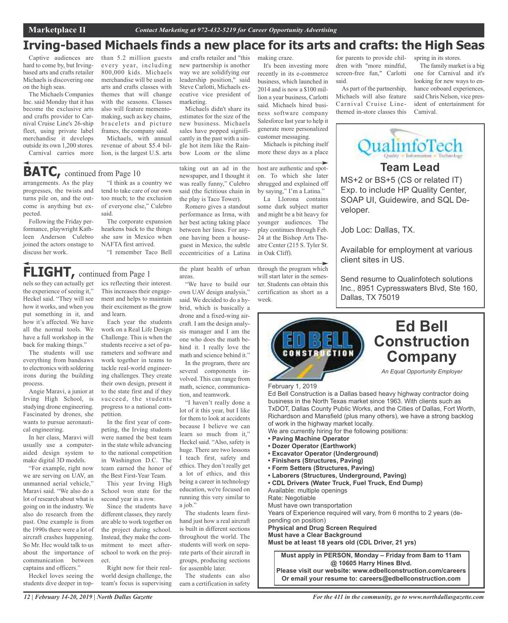### **Irving-based Michaels finds a new place for its arts and crafts: the High Seas**

Captive audiences are hard to come by, but Irvingbased arts and crafts retailer Michaels is discovering one on the high seas.

The Michaels Companies Inc. said Monday that it has become the exclusive arts and crafts provider to Carnival Cruise Line's 26-ship fleet, using private label merchandise it develops outside its own 1,200 stores.

Carnival carries more

than 5.2 million guests every year, including 800,000 kids. Michaels merchandise will be used in arts and crafts classes with themes that will change with the seasons. Classes also will feature mementomaking, such as key chains, bracelets and picture frames, the company said.

Michaels, with annual revenue of about \$5.4 billion, is the largest U.S. arts

and crafts retailer and "this new partnership is another way we are solidifying our leadership position," said Steve Carlotti, Michaels executive vice president of marketing. Michaels didn't share its

estimates for the size of the new business. Michaels sales have popped significantly in the past with a single hot item like the Rainbow Loom or the slime

taking out an ad in the newspaper, and I thought it was really funny," Culebro said (the fictitious chain in the play is Taco Tower). Romero gives a standout performance as Irma, with her best acting taking place between her lines. For anyone having been a houseguest in Mexico, the subtle eccentricities of a Latina

making craze. It's been investing more recently in its e-commerce business, which launched in 2014 and is now a \$100 million a year business, Carlotti said. Michaels hired business software company Salesforce last year to help it generate more personalized customer messaging.

Michaels is pitching itself more these days as a place

host are authentic and spoton. To which she later shrugged and explained off by saying," I'm a Latina."

La Llorona contains some dark subject matter and might be a bit heavy for younger audiences. The play continues through Feb. 24 at the Bishop Arts Theatre Center (215 S. Tyler St. in Oak Cliff).

through the program which will start later in the semester. Students can obtain this certification as short as a week.

for parents to provide children with "more mindful, screen-free fun," Carlotti said.

As part of the partnership, Michaels will also feature Carnival Cruise Linethemed in-store classes this spring in its stores.

The family market is a big one for Carnival and it's looking for new ways to enhance onboard experiences, said Chris Nelson, vice president of entertainment for Carnival.



### **Team Lead**

MS+2 or BS+5 (CS or related IT) Exp. to include HP Quality Center, SOAP UI, Guidewire, and SQL Developer.

Job Loc: Dallas, TX.

Available for employment at various client sites in US.

Send resume to Qualinfotech solutions Inc., 8951 Cypresswaters Blvd, Ste 160, Dallas, TX 75019



### **Ed Bell Construction Company**

*An Equal Opportunity Employer*

February 1, 2019

Ed Bell Construction is a Dallas based heavy highway contractor doing business in the North Texas market since 1963. With clients such as TxDOT, Dallas County Public Works, and the Cities of Dallas, Fort Worth, Richardson and Mansfield (plus many others), we have a strong backlog of work in the highway market locally.

We are currently hiring for the following positions:

- **• Paving Machine Operator**
- **• Dozer Operator (Earthwork)**
- **• Excavator Operator (Underground)**
- **• Finishers (Structures, Paving)**
- **• Form Setters (Structures, Paving)**
- **• Laborers (Structures, Underground, Paving)**
- **• CDL Drivers (Water Truck, Fuel Truck, End Dump)** Available: multiple openings

Rate: Negotiable

Must have own transportation

Years of Experience required will vary, from 6 months to 2 years (depending on position)

**Physical and Drug Screen Required**

**Must have a Clear Background**

**Must be at least 18 years old (CDL Driver, 21 yrs)**

**Must apply in PERSON, Monday – Friday from 8am to 11am @ 10605 Harry Hines Blvd.**

**Please visit our website: www.edbellconstruction.com/careers Or email your resume to: careers@edbellconstruction.com**

arrangements. As the play progresses, the twists and turns pile on, and the outcome is anything but expected. **BATC**, continued from Page 10

Following the Friday performance, playwright Kathleen Anderson Culebro joined the actors onstage to discuss her work.

"I think as a country we tend to take care of our own too much; to the exclusion of everyone else," Culebro said.

The corporate expansion hearkens back to the things she saw in Mexico when NAFTA first arrived. "I remember Taco Bell

## FLIGHT, continued from Page 1

nels so they can actually get the experience of seeing it," Heckel said. "They will see how it works, and when you put something in it, and how it's affected. We have all the normal tools. We have a full workshop in the back for making things."

The students will use everything from bandsaws to electronics with soldering irons during the building process.

Angie Maravi, a junior at Irving High School, is studying drone engineering. Fascinated by drones, she wants to pursue aeronautical engineering.

In her class, Maravi will usually use a computeraided design system to make digital 3D models.

"For example, right now we are serving on UAV, an unmanned aerial vehicle," Maravi said. "We also do a lot of research about what is going on in the industry. We also do research from the past. One example is from the 1990s there were a lot of aircraft crashes happening. So Mr. Hec would talk to us about the importance of communication between captains and officers."

Heckel loves seeing the students dive deeper in topics reflecting their interest. This increases their engagement and helps to maintain their excitement as the grow and learn.

Each year the students work on a Real Life Design Challenge. This is when the students receive a set of parameters and software and work together in teams to tackle real-world engineering challenges. They create their own design, present it to the state first and if they succeed, the students progress to a national competition.

In the first year of competing, the Irving students were named the best team in the state while advancing to the national competition in Washington D.C. The team earned the honor of the Best First-Year Team.

This year Irving High School won state for the second year in a row.

Since the students have different classes, they rarely are able to work together on the project during school. Instead, they make the commitment to meet afterschool to work on the project.

Right now for their realworld design challenge, the team's focus is supervising

areas. "We have to build our own UAV design analysis,"

said. We decided to do a hybrid, which is basically a drone and a fixed-wing aircraft. I am the design analysis manager and I am the one who does the math behind it. I really love the math and science behind it."

the plant health of urban

In the program, there are several components involved. This can range from math, science, communication, and teamwork.

"I haven't really done a lot of it this year, but I like for them to look at accidents because I believe we can learn so much from it," Heckel said. "Also, safety is huge. There are two lessons I teach first, safety and ethics. They don't really get a lot of ethics, and this being a career in technology education, we're focused on running this very similar to a job."

The students learn firsthand just how a real aircraft is built in different sections throughout the world. The students will work on separate parts of their aircraft in groups, producing sections for assemble later.

The students can also earn a certification in safety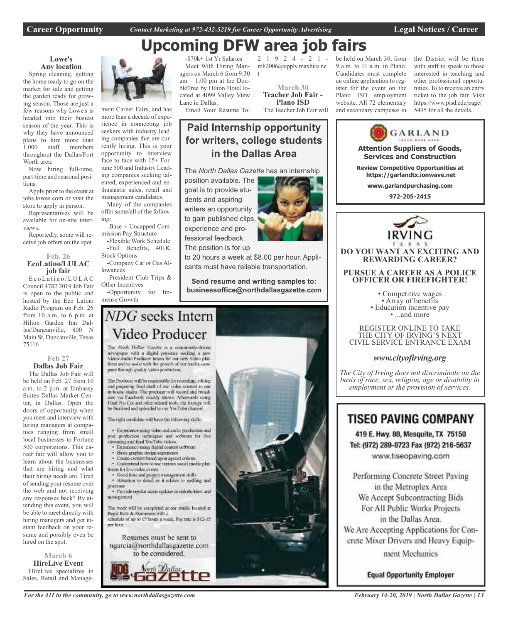### 2 1 9 2 4 - 2 1 - **Upcoming DFW area job fairs**

t

#### **Lowe's Any location**

Spring cleaning, getting the home ready to go on the market for sale and getting the garden ready for growing season. Those are just a few reasons why Lowe's is headed into their busiest season of the year. This is why they have announced plans to hire more than 1,000 staff members throughout the Dallas/Fort Worth area.

Now hiring full-time, part-time and seasonal positions.

Apply prior to the event at jobs.lowes.com or visit the store to apply in person.

Representatives will be available for on-site interviews.

Reportedly, some will receive job offers on the spot

#### **Feb. 26 EcoLatino/LULAC job fair**

 $E$ co Latino/LULAC Council 4782 2019 Job Fair is open to the public and hosted by the Eco Latino Radio Program on Feb. 26 from 10 a.m. to 6 p.m. at Hilton Garden Inn Dallas/Duncanville, 800 N Main St, Duncanville, Texas 75116

#### **Feb 27**

### **Dallas Job Fair**

The Dallas Job Fair will be held on Feb. 27 from 10 a.m. to 2 p.m. at Embassy Suites Dallas Market Center, in Dallas. Open the doors of opportunity when you meet and interview with hiring managers at companies ranging from small local businesses to Fortune 500 corporations. This career fair will allow you to learn about the businesses that are hiring and what their hiring needs are. Tired of sending your resume over the web and not receiving any responses back? By attending this event, you will be able to meet directly with hiring managers and get instant feedback on your resume and possibly even be hired on the spot.

**March 6 HireLive Event** HireLive specializes in Sales, Retail and Manage-



ment Career Fairs, and has more than a decade of experience in connecting job seekers with industry leading companies that are currently hiring. This is your opportunity to interview face to face with 15+ Fortune 500 and Industry Leading companies seeking talented, experienced and enthusiastic sales, retail and management candidates.

Many of the companies offer some/all of the following:

-Base + Uncapped Commission Pay Structure

-Flexible Work Schedule -Full Benefits, 401K, Stock Options

-Company Car or Gas Allowances

-President Club Trips & Other Incentives -Opportunity for Im-

mense Growth

-\$70k+ 1st Yr Salaries Meet With Hiring Managers on March 6 from 9:30  $am - 1:00$  pm at the DoubleTree by Hilton Hotel located at 4099 Valley View Lane in Dallas.

Email Your Resume To:

### **Paid Internship opportunity for writers, college students in the Dallas Area**

The *North Dallas Gazette* has an internship

position available. The goal is to provide students and aspiring writers an opportunity to gain published clips, experience and professional feedback. The position is for up

mh2006@apply.maxhire.ne

**March 30 Teacher Job Fair - Plano ISD** The Teacher Job Fair will

to 20 hours a week at \$8.00 per hour. Applicants must have reliable transportation.

**Send resume and writing samples to: businessoffice@northdallasgazette.com**

### NDG seeks Intern Video Producer

The North Dallas Gazette is a community-driven newspaper with a digital prosence socking a new Video/Audio Producer Intam for our new video plat-<br>form and to assist with the growth of our media comproy through quality video production

The Producer will be responsible for rocording, editing and preparing final druft of our viden content in our in-house stadio. The producer will record and broad-cast via Facebook witchly shows. Afterwards using Final Pro Cor and other related tools, the footage will he finalized and uploaded to our YouTube channel

The right cardidate will have the following skills:

· Experience using video and antio production and post production techniques and software for live streaming and final YouTube videos.

- Experience mang digital content settware
- Basic graphic design experience
- Create circlent hased upon agreed criteria · Understand how to use various social media plat-
- tions for live video cycets
- · Good time and project management skills<br>· Attention to detail as it relates to spelling and
- · Provide regular status updates to stakeholders and miniarumen

The work will be completed at our studio located at Regal Row & Stemmons with a schedule of up to 15 hours a week. Pay rate is \$12-15.

ner hoor. Resumes must be sent to

ngarcia@northdallasgazette.com to be considered. **Vorth Dallas** 



be held on March 30, from 9 a.m. to 11 a.m. in Plano. Candidates must complete an online application to register for the event on the Plano ISD employment website. All 72 elementary and secondary campuses in the District will be there with staff to speak to those interested in teaching and other professional opportunities. To to receive an entry ticket to the job fair. Visit https://www.pisd.edu/page/ 5495 for all the details.



For All Public Works Projects in the Dallas Area. We Are Accepting Applications for Concrete Mixer Drivers and Heavy Equipment Mechanics

**Equal Opportunity Employer**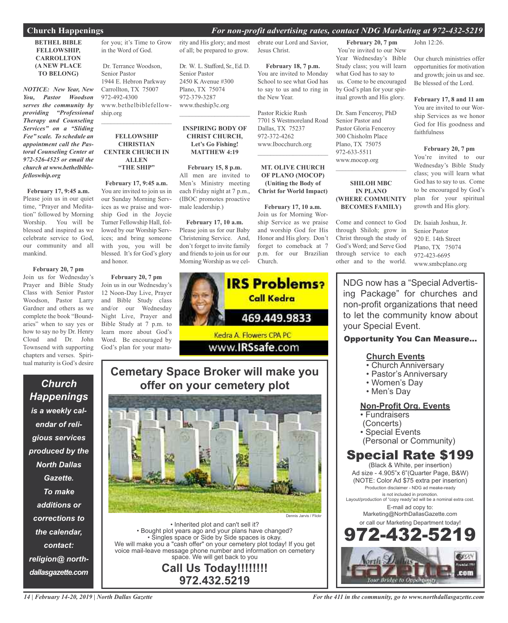#### **Church Happenings** *For non-profit advertising rates, contact NDG Marketing at 972-432-5219*

#### **BETHEL BIBLE FELLOWSHIP, CARROLLTON (A NEW PLACE TO BELONG)**

*NOTICE: New Year, New You, Pastor Woodson serves the community by providing "Professional Therapy and Counseling Services" on a "Sliding Fee" scale. To schedule an appointment call the Pastoral Counseling Center at 972-526-4525 or email the church at www.bethelbiblefelloswhip.org*

#### **February 17, 9:45 a.m.**

Please join us in our quiet time, "Prayer and Meditation" followed by Morning Worship. You will be blessed and inspired as we celebrate service to God, our community and all mankind.

#### **February 20, 7 pm**

Join us for Wednesday's Prayer and Bible Study Class with Senior Pastor Woodson, Pastor Larry Gardner and others as we complete the book "Boundaries" when to say yes or how to say no by Dr. Henry Cloud and Dr. John Townsend with supporting chapters and verses. Spiritual maturity is God's desire

*Church Happenings is a weekly calendar of religious services produced by the North Dallas Gazette. To make additions or corrections to the calendar, contact: religion@ northdallasgazette.com*

for you; it's Time to Grow in the Word of God.

Dr. Terrance Woodson, Senior Pastor 1944 E. Hebron Parkway Carrollton, TX 75007 972-492-4300 www.bethelbiblefellowship.org

#### **FELLOWSHIP CHRISTIAN CENTER CHURCH IN ALLEN "THE SHIP"**

 $\overline{\phantom{a}}$  , and the set of the set of the set of the set of the set of the set of the set of the set of the set of the set of the set of the set of the set of the set of the set of the set of the set of the set of the s

**February 17, 9:45 a.m.** You are invited to join us in our Sunday Morning Services as we praise and worship God in the Joycie Turner Fellowship Hall, followed by our Worship Services; and bring someone with you, you will be blessed. It's for God's glory and honor.

**February 20, 7 pm** Join us in our Wednesday's 12 Noon-Day Live, Prayer and Bible Study class and/or our Wednesday Night Live, Prayer and Bible Study at 7 p.m. to learn more about God's Word. Be encouraged by God's plan for your maturity and His glory; and most of all; be prepared to grow.

Dr. W. L. Stafford, Sr., Ed. D. Senior Pastor 2450 K Avenue #300 Plano, TX 75074 972-379-3287 www.theship3c.org

#### **INSPIRING BODY OF CHRIST CHURCH, Let's Go Fishing! MATTHEW 4:19**

 $\overline{\phantom{a}}$  , and the set of the set of the set of the set of the set of the set of the set of the set of the set of the set of the set of the set of the set of the set of the set of the set of the set of the set of the s

#### **February 15, 8 p.m.**

All men are invited to Men's Ministry meeting each Friday night at 7 p.m., (IBOC promotes proactive male leadership.)

### **February 17, 10 a.m.**

Please join us for our Baby Christening Service. And, don't forget to invite family and friends to join us for our Morning Worship as we cel-



**February 18, 7 p.m.** You are invited to Monday School to see what God has to say to us and to ring in the New Year.

Pastor Rickie Rush 7701 S Westmoreland Road Dallas, TX 75237 972-372-4262 www.Ibocchurch.org  $\mathcal{L}_\mathcal{L}$  , where  $\mathcal{L}_\mathcal{L}$  is the set of the set of the set of the set of the set of the set of the set of the set of the set of the set of the set of the set of the set of the set of the set of the set of the

#### **MT. OLIVE CHURCH OF PLANO (MOCOP) (Uniting the Body of Christ for World Impact)**

**February 17, 10 a.m.** Join us for Morning Worship Service as we praise and worship God for His Honor and His glory. Don't forget to comeback at 7 p.m. for our Brazilian Church.



**Cemetary Space Broker will make you offer on your cemetery plot**



• Inherited plot and can't sell it? • Bought plot years ago and your plans have changed? • Singles space or Side by Side spaces is okay. We will make you a "cash offer" on your cemetery plot today! If you get voice mail-leave message phone number and information on cemetery space. We will get back to you

**Call Us Today!!!!!!!! 972.432.5219**

**February 20, 7 pm** You're invited to our New Year Wednesday's Bible Study class; you will learn what God has to say to us. Come to be encouraged by God's plan for your spiritual growth and His glory.

Dr. Sam Fenceroy, PhD Senior Pastor and Pastor Gloria Fenceroy 300 Chisholm Place Plano, TX 75075 972-633-5511 www.mocop.org

#### **SHILOH MBC IN PLANO (WHERE COMMUNITY BECOMES FAMILY)**

 $\mathcal{L}_\text{max}$  and  $\mathcal{L}_\text{max}$  and  $\mathcal{L}_\text{max}$ 

Come and connect to God through Shiloh; grow in Christ through the study of God's Word; and Serve God through service to each other and to the world.

John 12:26.

Our church ministries offer opportunities for motivation and growth; join us and see. Be blessed of the Lord.

#### **February 17, 8 and 11 am**

You are invited to our Worship Services as we honor God for His goodness and faithfulness

#### **February 20, 7 pm**

You're invited to our Wednesday's Bible Study class; you will learn what God has to say to us. Come to be encouraged by God's plan for your spiritual growth and His glory.

Dr. Isaiah Joshua, Jr. Senior Pastor 920 E. 14th Street Plano, TX 75074 972-423-6695 www.smbcplano.org

NDG now has a "Special Advertising Package" for churches and non-profit organizations that need to let the community know about your Special Event.

### Opportunity You Can Measure...

### **Church Events**

- Church Anniversary
- Pastor's Anniversary
- Women's Day
- Men's Day

#### **Non-Profit Org. Events**

- Fundraisers
- (Concerts)
- Special Events
- (Personal or Community)

### Special Rate \$199

(Black & White, per insertion) Ad size - 4.905"x 6"(Quarter Page, B&W) (NOTE: Color Ad \$75 extra per inserion) Production disclaimer - NDG ad meake-ready is not included in promotion. Layout/production of "copy ready"ad will be a nominal extra cost. E-mail ad copy to: Marketing@NorthDallasGazette.com or call our Marketing Department today!

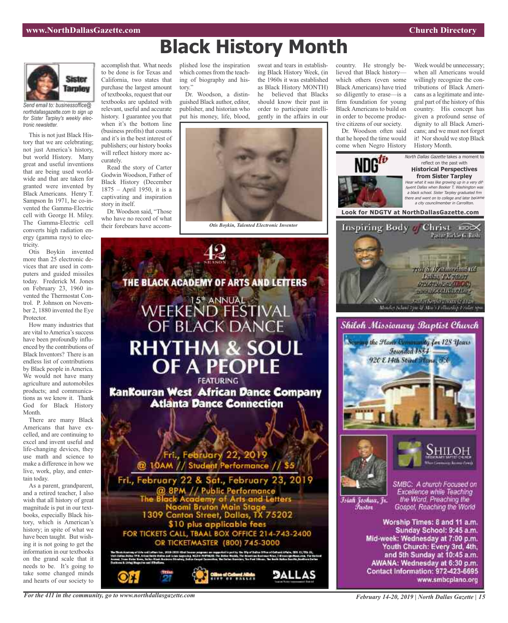

*Send email to: businessoffice@ northdallasgazette.com to sign up for Sister Tarpley's weekly electronic newsletter.*

This is not just Black History that we are celebrating; not just America's history, but world History. Many great and useful inventions that are being used worldwide and that are taken for granted were invented by Black Americans. Henry T. Sampson In 1971, he co-invented the Gamma-Electric cell with George H. Miley. The Gamma-Electric cell converts high radiation energy (gamma rays) to electricity.

Otis Boykin invented more than 25 electronic devices that are used in computers and guided missiles today. Frederick M. Jones on February 23, 1960 invented the Thermostat Control. P. Johnson on November 2, 1880 invented the Eye Protector.

How many industries that are vital to America's success have been profoundly influenced by the contributions of Black Inventors? There is an endless list of contributions by Black people in America. We would not have many agriculture and automobiles products; and communications as we know it. Thank God for Black History Month.

There are many Black Americans that have excelled, and are continuing to excel and invent useful and life-changing devices, they use math and science to make a difference in how we live, work, play, and entertain today.

As a parent, grandparent, and a retired teacher, I also wish that all history of great magnitude is put in our textbooks, especially Black history, which is American's history; in spite of what we have been taught. But wishing it is not going to get the information in our textbooks on the grand scale that it needs to be. It's going to take some changed minds and hearts of our society to

accomplish that. What needs to be done is for Texas and California, two states that purchase the largest amount of textbooks, request that our textbooks are updated with relevant, useful and accurate history. I guarantee you that when it's the bottom line (business profits) that counts and it's in the best interest of publishers; our history books will reflect history more accurately.

Read the story of Carter Godwin Woodson, Father of Black History (December 1875 – April 1950, it is a captivating and inspiration story in itself.

Dr. Woodson said, "Those who have no record of what their forebears have accomplished lose the inspiration which comes from the teaching of biography and history.'

Dr. Woodson, a distinguished Black author, editor, publisher, and historian who put his money, life, blood,

sweat and tears in establishing Black History Week, (in the 1960s it was established as Black History MONTH) he believed that Blacks should know their past in order to participate intelligently in the affairs in our

country. He strongly believed that Black history which others (even some Black Americans) have tried so diligently to erase—is a firm foundation for young Black Americans to build on in order to become productive citizens of our society.

Dr. Woodson often said that he hoped the time would come when Negro History

 $\mathsf{R}^{tv}$ 

Week would be unnecessary; when all Americans would willingly recognize the contributions of Black Americans as a legitimate and integral part of the history of this country. His concept has given a profound sense of dignity to all Black Americans; and we must not forget it! Norshould we stop Black History Month.

North Dallas Gazette takes a moment to reflect on the past with **Historical Perspectives**



**Black History Month**



**Cibre of College Albin**<br>Albin College Albin





Istali Joshua, Jr.

*Pastar* 



SMBC: A church Focused on Excellence while Teaching the Word. Preaching the Gospel, Reaching the World

Worship Times: 8 and 11 a.m. Sunday School: 9:45 a.m. Mid-week: Wednesday at 7:00 p.m. Youth Church: Every 3rd, 4th, and 5th Sunday at 10:45 a.m. AWANA: Wednesday at 6:30 p.m. Contact Information: 972-423-6695 www.smbcplano.org